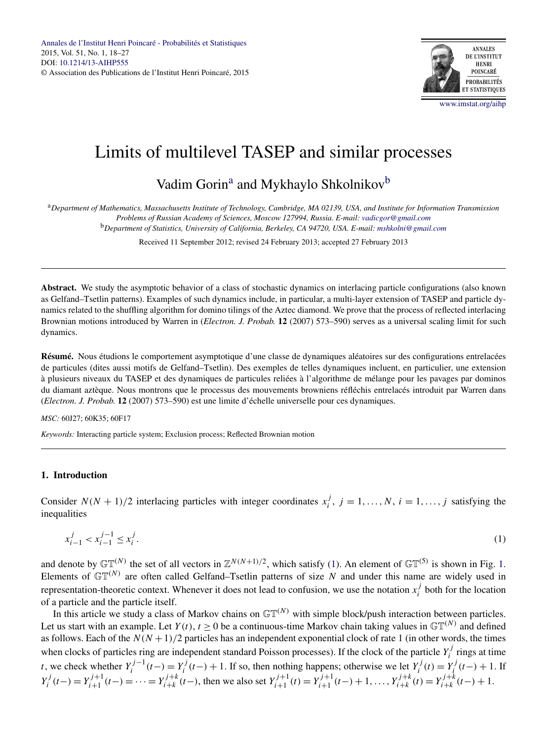

# <span id="page-0-0"></span>Limits of multilevel TASEP and similar processes

# Vadim Gorin<sup>a</sup> and Mykhaylo Shkolnikov<sup>b</sup>

<sup>a</sup>*Department of Mathematics, Massachusetts Institute of Technology, Cambridge, MA 02139, USA, and Institute for Information Transmission Problems of Russian Academy of Sciences, Moscow 127994, Russia. E-mail: [vadicgor@gmail.com](mailto:vadicgor@gmail.com)*

<sup>b</sup>*Department of Statistics, University of California, Berkeley, CA 94720, USA. E-mail: [mshkolni@gmail.com](mailto:mshkolni@gmail.com)*

Received 11 September 2012; revised 24 February 2013; accepted 27 February 2013

**Abstract.** We study the asymptotic behavior of a class of stochastic dynamics on interlacing particle configurations (also known as Gelfand–Tsetlin patterns). Examples of such dynamics include, in particular, a multi-layer extension of TASEP and particle dynamics related to the shuffling algorithm for domino tilings of the Aztec diamond. We prove that the process of reflected interlacing Brownian motions introduced by Warren in (*Electron. J. Probab.* **12** (2007) 573–590) serves as a universal scaling limit for such dynamics.

**Résumé.** Nous étudions le comportement asymptotique d'une classe de dynamiques aléatoires sur des configurations entrelacées de particules (dites aussi motifs de Gelfand–Tsetlin). Des exemples de telles dynamiques incluent, en particulier, une extension à plusieurs niveaux du TASEP et des dynamiques de particules reliées à l'algorithme de mélange pour les pavages par dominos du diamant aztèque. Nous montrons que le processus des mouvements browniens réfléchis entrelacés introduit par Warren dans (*Electron. J. Probab.* **12** (2007) 573–590) est une limite d'échelle universelle pour ces dynamiques.

### *MSC:* 60J27; 60K35; 60F17

*Keywords:* Interacting particle system; Exclusion process; Reflected Brownian motion

# **1. Introduction**

Consider  $N(N + 1)/2$  interlacing particles with integer coordinates  $x_i^j$ ,  $j = 1, ..., N$ ,  $i = 1, ..., j$  satisfying the inequalities

$$
x_{i-1}^j < x_{i-1}^{j-1} \le x_i^j. \tag{1}
$$

and denote by  $\mathbb{GT}^{(N)}$  the set of all vectors in  $\mathbb{Z}^{N(N+1)/2}$ , which satisfy (1). An element of  $\mathbb{GT}^{(5)}$  is shown in Fig. [1.](#page-1-0) Elements of  $\mathbb{GT}^{(N)}$  are often called Gelfand–Tsetlin patterns of size *N* and under this name are widely used in representation-theoretic context. Whenever it does not lead to confusion, we use the notation  $x_i^j$  both for the location of a particle and the particle itself.

In this article we study a class of Markov chains on  $\mathbb{GT}^{(N)}$  with simple block/push interaction between particles. Let us start with an example. Let  $Y(t)$ ,  $t \ge 0$  be a continuous-time Markov chain taking values in  $\mathbb{GT}^{(N)}$  and defined as follows. Each of the  $N(N+1)/2$  particles has an independent exponential clock of rate 1 (in other words, the times when clocks of particles ring are independent standard Poisson processes). If the clock of the particle  $Y_i^j$  rings at time t, we check whether  $Y_i^{j-1}(t-) = Y_i^j(t-) + 1$ . If so, then nothing happens; otherwise we let  $Y_i^j(t) = Y_i^j(t-) + 1$ . If  $Y_i^j(t-) = Y_{i+1}^{j+1}(t-) = \cdots = Y_{i+k}^{j+k}(t-)$ , then we also set  $Y_{i+1}^{j+1}(t) = Y_{i+1}^{j+1}(t-) + 1, \ldots, Y_{i+k}^{j+k}(t) = Y_{i+k}^{j+k}(t-) + 1$ .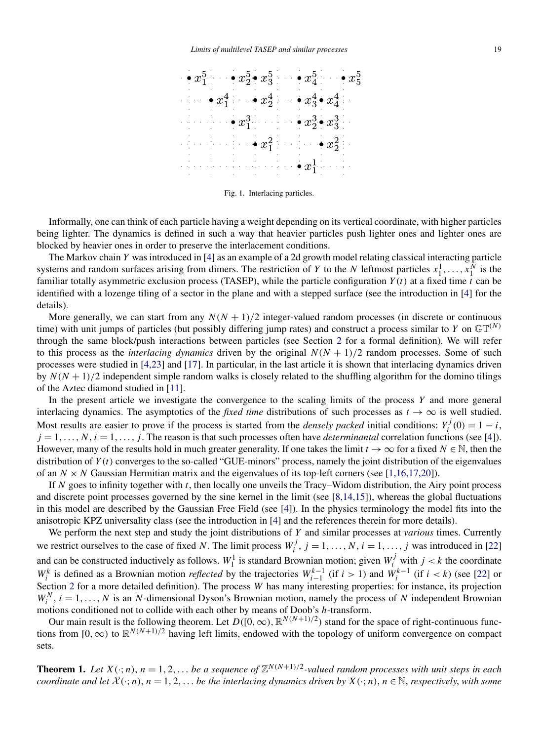<span id="page-1-0"></span>

Fig. 1. Interlacing particles.

Informally, one can think of each particle having a weight depending on its vertical coordinate, with higher particles being lighter. The dynamics is defined in such a way that heavier particles push lighter ones and lighter ones are blocked by heavier ones in order to preserve the interlacement conditions.

The Markov chain *Y* was introduced in [\[4\]](#page-9-0) as an example of a 2d growth model relating classical interacting particle systems and random surfaces arising from dimers. The restriction of *Y* to the *N* leftmost particles  $x_1^1, \ldots, x_1^N$  is the familiar totally asymmetric exclusion process (TASEP), while the particle configuration *Y (t)* at a fixed time *t* can be identified with a lozenge tiling of a sector in the plane and with a stepped surface (see the introduction in [\[4\]](#page-9-0) for the details).

More generally, we can start from any  $N(N + 1)/2$  integer-valued random processes (in discrete or continuous time) with unit jumps of particles (but possibly differing jump rates) and construct a process similar to *Y* on  $\mathbb{GT}^{(N)}$ through the same block/push interactions between particles (see Section [2](#page-3-0) for a formal definition). We will refer to this process as the *interlacing dynamics* driven by the original  $N(N + 1)/2$  random processes. Some of such processes were studied in [\[4,23\]](#page-9-0) and [\[17\]](#page-9-0). In particular, in the last article it is shown that interlacing dynamics driven by  $N(N + 1)/2$  independent simple random walks is closely related to the shuffling algorithm for the domino tilings of the Aztec diamond studied in [\[11\]](#page-9-0).

In the present article we investigate the convergence to the scaling limits of the process *Y* and more general interlacing dynamics. The asymptotics of the *fixed time* distributions of such processes as  $t \to \infty$  is well studied. Most results are easier to prove if the process is started from the *densely packed* initial conditions:  $Y_i^j(0) = 1 - i$ ,  $j = 1, \ldots, N, i = 1, \ldots, j$ . The reason is that such processes often have *determinantal* correlation functions (see [\[4\]](#page-9-0)). However, many of the results hold in much greater generality. If one takes the limit  $t \to \infty$  for a fixed  $N \in \mathbb{N}$ , then the distribution of *Y (t)* converges to the so-called "GUE-minors" process, namely the joint distribution of the eigenvalues of an  $N \times N$  Gaussian Hermitian matrix and the eigenvalues of its top-left corners (see [\[1,16,17,20\]](#page-9-0)).

If *N* goes to infinity together with *t*, then locally one unveils the Tracy–Widom distribution, the Airy point process and discrete point processes governed by the sine kernel in the limit (see [\[8,14,15\]](#page-9-0)), whereas the global fluctuations in this model are described by the Gaussian Free Field (see [\[4\]](#page-9-0)). In the physics terminology the model fits into the anisotropic KPZ universality class (see the introduction in [\[4\]](#page-9-0) and the references therein for more details).

We perform the next step and study the joint distributions of *Y* and similar processes at *various* times. Currently we restrict ourselves to the case of fixed *N*. The limit process  $W_i^j$ ,  $j = 1, ..., N$ ,  $i = 1, ..., j$  was introduced in [\[22\]](#page-9-0) and can be constructed inductively as follows.  $W_1^1$  is standard Brownian motion; given  $W_i^j$  with  $j < k$  the coordinate *W*<sup>*k*</sup> is defined as a Brownian motion *reflected* by the trajectories  $W_{i-1}^{k-1}$  (if *i* > 1) and  $W_i^{k-1}$  (if *i* < *k*) (see [\[22\]](#page-9-0) or Section [2](#page-3-0) for a more detailed definition). The process *W* has many interesting properties: for instance, its projection  $W_i^N$ ,  $i = 1, ..., N$  is an *N*-dimensional Dyson's Brownian motion, namely the process of *N* independent Brownian motions conditioned not to collide with each other by means of Doob's *h*-transform.

Our main result is the following theorem. Let  $D([0, \infty), \mathbb{R}^{N(N+1)/2})$  stand for the space of right-continuous functions from  $[0, \infty)$  to  $\mathbb{R}^{N(N+1)/2}$  having left limits, endowed with the topology of uniform convergence on compact sets.

**Theorem 1.** Let  $X(\cdot; n)$ ,  $n = 1, 2, \ldots$  be a sequence of  $\mathbb{Z}^{N(N+1)/2}$ -valued random processes with unit steps in each *coordinate and let*  $X(\cdot; n)$ ,  $n = 1, 2, \ldots$  *be the interlacing dynamics driven by*  $X(\cdot; n)$ ,  $n \in \mathbb{N}$ , *respectively*, *with some*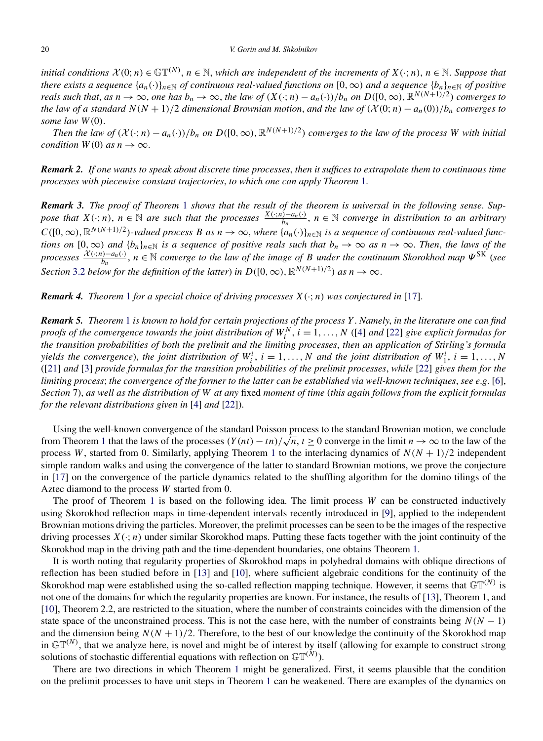*initial conditions*  $X(0; n) \in \mathbb{GT}^{(N)}$ ,  $n \in \mathbb{N}$ , which are independent of the increments of  $X(\cdot; n)$ ,  $n \in \mathbb{N}$ . Suppose that *there exists a sequence*  $\{a_n(\cdot)\}_{n\in\mathbb{N}}$  *of continuous real-valued functions on*  $[0,\infty)$  *and a sequence*  $\{b_n\}_{n\in\mathbb{N}}$  *of positive* reals such that, as  $n \to \infty$ , one has  $b_n \to \infty$ , the law of  $(X(\cdot; n) - a_n(\cdot))/b_n$  on  $D([0, \infty), \mathbb{R}^{N(N+1)/2})$  converges to *the law of a standard*  $N(N + 1)/2$  *dimensional Brownian motion, and the law of*  $(\mathcal{X}(0; n) - a_n(0))/b_n$  *converges to some law W (*0*)*.

*Then the law of*  $(\mathcal{X}(\cdot; n) - a_n(\cdot))/b_n$  *on*  $D([0, \infty), \mathbb{R}^{N(N+1)/2})$  *converges to the law of the process W with initial condition*  $W(0)$  *as*  $n \to \infty$ .

*Remark 2. If one wants to speak about discrete time processes*, *then it suffices to extrapolate them to continuous time processes with piecewise constant trajectories*, *to which one can apply Theorem* [1.](#page-1-0)

*Remark 3. The proof of Theorem* [1](#page-1-0) *shows that the result of the theorem is universal in the following sense*. *Suppose that*  $X(\cdot; n)$ ,  $n \in \mathbb{N}$  are such that the processes  $\frac{X(\cdot; n) - a_n(\cdot)}{b_n}$ ,  $n \in \mathbb{N}$  converge in distribution to an arbitrary  $C([0,\infty),\mathbb{R}^{N(N+1)/2})$ -valued process *B* as  $n \to \infty$ , where  $\{a_n(\cdot)\}_{n \in \mathbb{N}}$  is a sequence of continuous real-valued func*tions on*  $[0, \infty)$  *and*  $\{b_n\}_{n\in\mathbb{N}}$  *is a sequence of positive reals such that*  $b_n \to \infty$  *as*  $n \to \infty$ *. Then, the laws of the processes* X*(*·;*n)*−*an(*·*) bn* , *<sup>n</sup>* <sup>∈</sup> <sup>N</sup> *converge to the law of the image of <sup>B</sup> under the continuum Skorokhod map <sup>Ψ</sup>*SK (*see Section* [3.2](#page-6-0) *below for the definition of the latter*) *in*  $D([0, \infty), \mathbb{R}^{N(N+1)/2})$  *as*  $n \to \infty$ .

*Remark 4. Theorem* [1](#page-1-0) *for a special choice of driving processes*  $X(\cdot; n)$  *was conjectured in* [\[17\]](#page-9-0).

*Remark 5. Theorem* [1](#page-1-0) *is known to hold for certain projections of the process Y* . *Namely*, *in the literature one can find proofs of the convergence towards the joint distribution of*  $W_i^N$ ,  $i = 1, ..., N$  ([\[4\]](#page-9-0) *and* [\[22\]](#page-9-0) *give explicit formulas for the transition probabilities of both the prelimit and the limiting processes*, *then an application of Stirling's formula yields the convergence*), *the joint distribution of*  $W_i^i$ ,  $i = 1, ..., N$  *and the joint distribution of*  $W_1^i$ ,  $i = 1, ..., N$ ([\[21\]](#page-9-0) *and* [\[3\]](#page-9-0) *provide formulas for the transition probabilities of the prelimit processes*, *while* [\[22\]](#page-9-0) *gives them for the limiting process*; *the convergence of the former to the latter can be established via well-known techniques*, *see e*.*g*. [\[6\]](#page-9-0), *Section* 7), *as well as the distribution of W at any* fixed *moment of time* (*this again follows from the explicit formulas for the relevant distributions given in* [\[4\]](#page-9-0) *and* [\[22\]](#page-9-0)).

Using the well-known convergence of the standard Poisson process to the standard Brownian motion, we conclude from Theorem [1](#page-1-0) that the laws of the processes  $(Y(nt) - tn)/\sqrt{n}$ ,  $t \ge 0$  converge in the limit  $n \to \infty$  to the law of the process *W*, started from 0. Similarly, applying Theorem [1](#page-1-0) to the interlacing dynamics of  $N(N + 1)/2$  independent simple random walks and using the convergence of the latter to standard Brownian motions, we prove the conjecture in [\[17\]](#page-9-0) on the convergence of the particle dynamics related to the shuffling algorithm for the domino tilings of the Aztec diamond to the process *W* started from 0.

The proof of Theorem [1](#page-1-0) is based on the following idea. The limit process *W* can be constructed inductively using Skorokhod reflection maps in time-dependent intervals recently introduced in [\[9\]](#page-9-0), applied to the independent Brownian motions driving the particles. Moreover, the prelimit processes can be seen to be the images of the respective driving processes  $X(\cdot; n)$  under similar Skorokhod maps. Putting these facts together with the joint continuity of the Skorokhod map in the driving path and the time-dependent boundaries, one obtains Theorem [1.](#page-1-0)

It is worth noting that regularity properties of Skorokhod maps in polyhedral domains with oblique directions of reflection has been studied before in [\[13\]](#page-9-0) and [\[10\]](#page-9-0), where sufficient algebraic conditions for the continuity of the Skorokhod map were established using the so-called reflection mapping technique. However, it seems that  $\mathbb{GT}^{(N)}$  is not one of the domains for which the regularity properties are known. For instance, the results of [\[13\]](#page-9-0), Theorem 1, and [\[10\]](#page-9-0), Theorem 2.2, are restricted to the situation, where the number of constraints coincides with the dimension of the state space of the unconstrained process. This is not the case here, with the number of constraints being  $N(N - 1)$ and the dimension being  $N(N + 1)/2$ . Therefore, to the best of our knowledge the continuity of the Skorokhod map in  $\mathbb{GT}^{(N)}$ , that we analyze here, is novel and might be of interest by itself (allowing for example to construct strong solutions of stochastic differential equations with reflection on  $\mathbb{GT}^{(N)}$ ).

There are two directions in which Theorem [1](#page-1-0) might be generalized. First, it seems plausible that the condition on the prelimit processes to have unit steps in Theorem [1](#page-1-0) can be weakened. There are examples of the dynamics on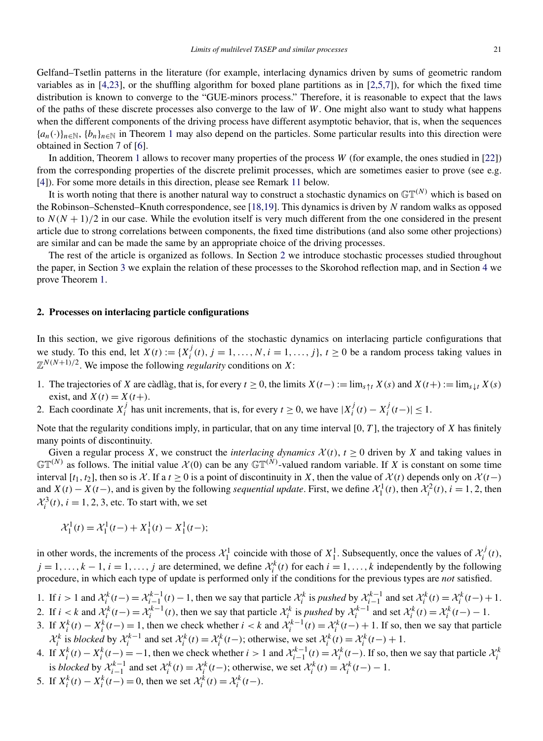<span id="page-3-0"></span>Gelfand–Tsetlin patterns in the literature (for example, interlacing dynamics driven by sums of geometric random variables as in [\[4,23\]](#page-9-0), or the shuffling algorithm for boxed plane partitions as in [\[2,5,7\]](#page-9-0)), for which the fixed time distribution is known to converge to the "GUE-minors process." Therefore, it is reasonable to expect that the laws of the paths of these discrete processes also converge to the law of *W*. One might also want to study what happens when the different components of the driving process have different asymptotic behavior, that is, when the sequences  ${a_n(\cdot)}_{n \in \mathbb{N}}, {b_n}_{n \in \mathbb{N}}$  in Theorem [1](#page-1-0) may also depend on the particles. Some particular results into this direction were obtained in Section 7 of [\[6\]](#page-9-0).

In addition, Theorem [1](#page-1-0) allows to recover many properties of the process *W* (for example, the ones studied in [\[22\]](#page-9-0)) from the corresponding properties of the discrete prelimit processes, which are sometimes easier to prove (see e.g. [\[4\]](#page-9-0)). For some more details in this direction, please see Remark [11](#page-8-0) below.

It is worth noting that there is another natural way to construct a stochastic dynamics on  $\mathbb{GT}^{(N)}$  which is based on the Robinson–Schensted–Knuth correspondence, see [\[18,19\]](#page-9-0). This dynamics is driven by *N* random walks as opposed to  $N(N+1)/2$  in our case. While the evolution itself is very much different from the one considered in the present article due to strong correlations between components, the fixed time distributions (and also some other projections) are similar and can be made the same by an appropriate choice of the driving processes.

The rest of the article is organized as follows. In Section 2 we introduce stochastic processes studied throughout the paper, in Section [3](#page-5-0) we explain the relation of these processes to the Skorohod reflection map, and in Section [4](#page-8-0) we prove Theorem [1.](#page-1-0)

# **2. Processes on interlacing particle configurations**

In this section, we give rigorous definitions of the stochastic dynamics on interlacing particle configurations that we study. To this end, let  $X(t) := \{X_i^j(t), j = 1, ..., N, i = 1, ..., j\}$ ,  $t \ge 0$  be a random process taking values in  $\mathbb{Z}^{N(N+1)/2}$ . We impose the following *regularity* conditions on *X*:

- 1. The trajectories of *X* are càdlàg, that is, for every  $t \ge 0$ , the limits  $X(t-) := \lim_{s \uparrow t} X(s)$  and  $X(t+) := \lim_{s \downarrow t} X(s)$ exist, and  $X(t) = X(t+)$ .
- 2. Each coordinate  $X_i^j$  has unit increments, that is, for every  $t \ge 0$ , we have  $|X_i^j(t) X_i^j(t-)| \le 1$ .

Note that the regularity conditions imply, in particular, that on any time interval [0*, T* ], the trajectory of *X* has finitely many points of discontinuity.

Given a regular process *X*, we construct the *interlacing dynamics*  $\mathcal{X}(t)$ ,  $t \ge 0$  driven by *X* and taking values in  $\mathbb{GT}^{(N)}$  as follows. The initial value  $\mathcal{X}(0)$  can be any  $\mathbb{GT}^{(N)}$ -valued random variable. If X is constant on some time interval  $[t_1, t_2]$ , then so is X. If a  $t \ge 0$  is a point of discontinuity in X, then the value of  $\mathcal{X}(t)$  depends only on  $\mathcal{X}(t-)$ and  $X(t) - X(t-)$ , and is given by the following *sequential update*. First, we define  $\mathcal{X}_1^1(t)$ , then  $\mathcal{X}_i^2(t)$ ,  $i = 1, 2$ , then  $\mathcal{X}_i^3(t)$ ,  $i = 1, 2, 3$ , etc. To start with, we set

$$
\mathcal{X}_1^1(t) = \mathcal{X}_1^1(t-) + X_1^1(t) - X_1^1(t-);
$$

in other words, the increments of the process  $\mathcal{X}_1^1$  coincide with those of  $X_1^1$ . Subsequently, once the values of  $\mathcal{X}_i^j(t)$ ,  $j = 1, \ldots, k - 1, i = 1, \ldots, j$  are determined, we define  $\mathcal{X}_i^k(t)$  for each  $i = 1, \ldots, k$  independently by the following procedure, in which each type of update is performed only if the conditions for the previous types are *not* satisfied.

- 1. If  $i > 1$  and  $\mathcal{X}_i^k(t-) = \mathcal{X}_{i-1}^{k-1}(t) 1$ , then we say that particle  $\mathcal{X}_i^k$  is pushed by  $\mathcal{X}_{i-1}^{k-1}$  and set  $\mathcal{X}_i^k(t) = \mathcal{X}_i^k(t-) + 1$ . 2. If  $i < k$  and  $\mathcal{X}_i^k(t-) = \mathcal{X}_i^{k-1}(t)$ , then we say that particle  $\mathcal{X}_i^k$  is *pushed* by  $\mathcal{X}_i^{k-1}$  and set  $\mathcal{X}_i^k(t) = \mathcal{X}_i^k(t-) - 1$ .
- 3. If  $X_i^k(t) X_i^k(t-) = 1$ , then we check whether  $i < k$  and  $\mathcal{X}_i^{k-1}(t) = \mathcal{X}_i^k(t-) + 1$ . If so, then we say that particle  $\mathcal{X}_i^k$  is blocked by  $\mathcal{X}_i^{k-1}$  and set  $\mathcal{X}_i^k(t) = \mathcal{X}_i^k(t-)$ ; otherwise, we set  $\mathcal{X}_i^k(t) = \mathcal{X}_i^k(t-) + 1$ .
- 4. If  $X_i^k(t) X_i^k(t-) = -1$ , then we check whether  $i > 1$  and  $\mathcal{X}_{i-1}^{k-1}(t) = \mathcal{X}_i^k(t-)$ . If so, then we say that particle  $\mathcal{X}_i^k$ is *blocked* by  $\mathcal{X}_{i-1}^{k-1}$  and set  $\mathcal{X}_i^k(t) = \mathcal{X}_i^k(t-)$ ; otherwise, we set  $\mathcal{X}_i^k(t) = \mathcal{X}_i^k(t-) - 1$ .
- 5. If  $X_i^k(t) X_i^k(t-) = 0$ , then we set  $\mathcal{X}_i^k(t) = \mathcal{X}_i^k(t-)$ .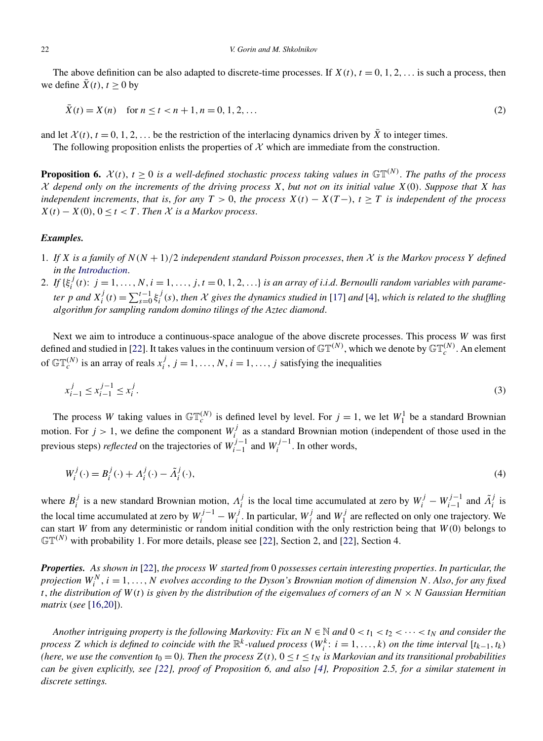<span id="page-4-0"></span>The above definition can be also adapted to discrete-time processes. If  $X(t)$ ,  $t = 0, 1, 2, \ldots$  is such a process, then we define  $\bar{X}(t)$ ,  $t > 0$  by

$$
\bar{X}(t) = X(n) \quad \text{for } n \le t < n+1, n = 0, 1, 2, \dots \tag{2}
$$

and let  $\mathcal{X}(t)$ ,  $t = 0, 1, 2, \ldots$  be the restriction of the interlacing dynamics driven by  $\overline{X}$  to integer times.

The following proposition enlists the properties of  $X$  which are immediate from the construction.

**Proposition 6.**  $\mathcal{X}(t)$ ,  $t \geq 0$  *is a well-defined stochastic process taking values in*  $\mathbb{GT}^{(N)}$ *. The paths of the process* X *depend only on the increments of the driving process X*, *but not on its initial value X(*0*)*. *Suppose that X has independent increments, that is, for any*  $T > 0$ , the process  $X(t) - X(T-)$ ,  $t > T$  *is independent of the process*  $X(t) - X(0)$ ,  $0 \le t < T$ . *Then*  $\mathcal X$  *is a Markov process.* 

# *Examples.*

- 1. *If X is a family of N (N* + 1*)/*2 *independent standard Poisson processes*, *then* X *is the Markov process Y defined in the [Introduction](#page-0-0)*.
- 2. If  $\{\xi_i^j(t): j = 1, ..., N, i = 1, ..., j, t = 0, 1, 2, ...\}$  is an array of i.i.d. Bernoulli random variables with parameter p and  $X_i^j(t) = \sum_{s=0}^{t-1} \xi_i^j(s)$ , then X gives the dynamics studied in [\[17\]](#page-9-0) and [\[4\]](#page-9-0), which is related to the shuffling *algorithm for sampling random domino tilings of the Aztec diamond*.

Next we aim to introduce a continuous-space analogue of the above discrete processes. This process *W* was first defined and studied in [\[22\]](#page-9-0). It takes values in the continuum version of  $\mathbb{GT}^{(N)}$ , which we denote by  $\mathbb{GT}_c^{(N)}$ . An element of  $\mathbb{GT}_c^{(N)}$  is an array of reals  $x_i^j$ ,  $j = 1, ..., N$ ,  $i = 1, ..., j$  satisfying the inequalities

$$
x_{i-1}^j \le x_{i-1}^{j-1} \le x_i^j. \tag{3}
$$

The process *W* taking values in  $\mathbb{GT}_c^{(N)}$  is defined level by level. For  $j = 1$ , we let  $W_1^1$  be a standard Brownian motion. For  $j > 1$ , we define the component  $W_i^j$  as a standard Brownian motion (independent of those used in the previous steps) *reflected* on the trajectories of  $W_{i-1}^{j-1}$  and  $W_i^{j-1}$ . In other words,

$$
W_i^j(\cdot) = B_i^j(\cdot) + A_i^j(\cdot) - \tilde{A}_i^j(\cdot),\tag{4}
$$

where  $B_i^j$  is a new standard Brownian motion,  $A_i^j$  is the local time accumulated at zero by  $W_i^j - W_{i-1}^{j-1}$  and  $\tilde{A}_i^j$  is the local time accumulated at zero by  $W_i^{j-1} - W_i^j$ . In particular,  $W_j^j$  and  $W_1^j$  are reflected on only one trajectory. We can start *W* from any deterministic or random initial condition with the only restriction being that *W (*0*)* belongs to  $\mathbb{GT}^{(N)}$  with probability 1. For more details, please see [\[22\]](#page-9-0), Section 2, and [22], Section 4.

*Properties. As shown in* [\[22\]](#page-9-0), *the process W started from* 0 *possesses certain interesting properties*. *In particular*, *the projection W<sup>N</sup> <sup>i</sup>* , *i* = 1*,...,N evolves according to the Dyson's Brownian motion of dimension N*. *Also*, *for any fixed t*, *the distribution of W (t) is given by the distribution of the eigenvalues of corners of an N* × *N Gaussian Hermitian matrix* (*see* [\[16,20\]](#page-9-0)).

*Another intriguing property is the following Markovity: Fix an*  $N \in \mathbb{N}$  and  $0 < t_1 < t_2 < \cdots < t_N$  and consider the *process Z* which is defined to coincide with the  $\mathbb{R}^k$ -valued process  $(W_i^k: i = 1, ..., k)$  on the time interval  $[t_{k-1}, t_k)$ *(here, we use the convention*  $t_0 = 0$ *). Then the process*  $Z(t)$ ,  $0 \le t \le t_N$  *is Markovian and its transitional probabilities can be given explicitly, see [\[22\]](#page-9-0), proof of Proposition 6, and also [\[4\]](#page-9-0), Proposition 2.5, for a similar statement in discrete settings.*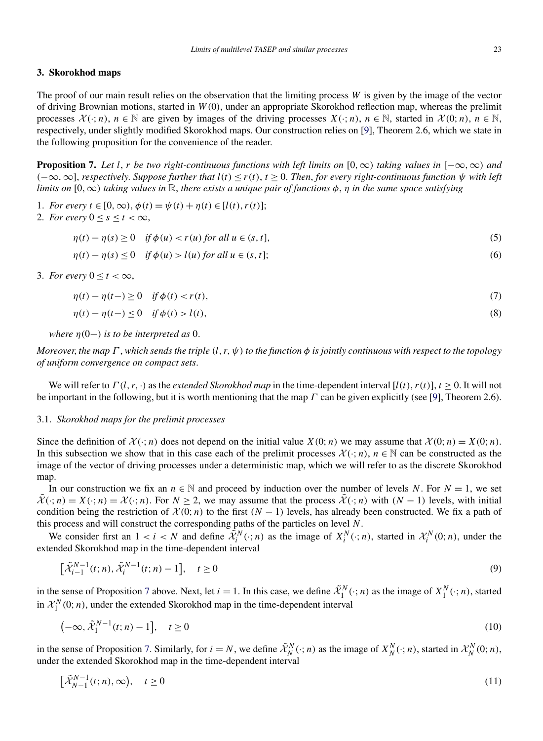#### <span id="page-5-0"></span>**3. Skorokhod maps**

The proof of our main result relies on the observation that the limiting process *W* is given by the image of the vector of driving Brownian motions, started in *W (*0*)*, under an appropriate Skorokhod reflection map, whereas the prelimit processes  $X(\cdot; n)$ ,  $n \in \mathbb{N}$  are given by images of the driving processes  $X(\cdot; n)$ ,  $n \in \mathbb{N}$ , started in  $X(0; n)$ ,  $n \in \mathbb{N}$ , respectively, under slightly modified Skorokhod maps. Our construction relies on [\[9\]](#page-9-0), Theorem 2.6, which we state in the following proposition for the convenience of the reader.

**Proposition 7.** Let l, r be two right-continuous functions with left limits on  $[0, \infty)$  taking values in  $[-\infty, \infty)$  and *(*−∞*,*∞], *respectively*. *Suppose further that l(t)* ≤ *r(t)*, *t* ≥ 0. *Then*, *for every right-continuous function ψ with left limits on*  $[0, \infty)$  *taking values in*  $\mathbb{R}$ *, there exists a unique pair of functions*  $\phi$ *,*  $\eta$  *in the same space satisfying* 

- 1. *For every*  $t \in [0, \infty)$ ,  $\phi(t) = \psi(t) + \eta(t) \in [l(t), r(t)]$ ;
- 2. *For every*  $0 \leq s \leq t \leq \infty$ ,

$$
\eta(t) - \eta(s) \ge 0 \quad \text{if } \phi(u) < r(u) \text{ for all } u \in (s, t],\tag{5}
$$

$$
\eta(t) - \eta(s) \le 0 \quad \text{if } \phi(u) > l(u) \text{ for all } u \in (s, t];\tag{6}
$$

3. *For every*  $0 \le t \le \infty$ ,

<sup>X</sup>˜ *<sup>N</sup>*−<sup>1</sup>

$$
\eta(t) - \eta(t-) \ge 0 \quad \text{if } \phi(t) < r(t),\tag{7}
$$

$$
\eta(t) - \eta(t-) \le 0 \quad \text{if } \phi(t) > l(t),\tag{8}
$$

*where*  $\eta(0-)$  *is to be interpreted as* 0.

*Moreover*, *the map Γ* , *which sends the triple (l, r, ψ) to the function φ is jointly continuous with respect to the topology of uniform convergence on compact sets*.

We will refer to  $\Gamma(l, r, \cdot)$  as the *extended Skorokhod map* in the time-dependent interval  $[l(t), r(t)]$ ,  $t > 0$ . It will not be important in the following, but it is worth mentioning that the map *Γ* can be given explicitly (see [\[9\]](#page-9-0), Theorem 2.6).

#### 3.1. *Skorokhod maps for the prelimit processes*

Since the definition of  $\mathcal{X}(\cdot; n)$  does not depend on the initial value  $X(0; n)$  we may assume that  $\mathcal{X}(0; n) = X(0; n)$ . In this subsection we show that in this case each of the prelimit processes  $\mathcal{X}(\cdot; n)$ ,  $n \in \mathbb{N}$  can be constructed as the image of the vector of driving processes under a deterministic map, which we will refer to as the discrete Skorokhod map.

In our construction we fix an  $n \in \mathbb{N}$  and proceed by induction over the number of levels *N*. For  $N = 1$ , we set  $\tilde{\mathcal{X}}(\cdot; n) = X(\cdot; n) = \mathcal{X}(\cdot; n)$ . For  $N \geq 2$ , we may assume that the process  $\tilde{\mathcal{X}}(\cdot; n)$  with  $(N - 1)$  levels, with initial condition being the restriction of  $\mathcal{X}(0; n)$  to the first  $(N - 1)$  levels, has already been constructed. We fix a path of this process and will construct the corresponding paths of the particles on level *N*.

We consider first an  $1 < i < N$  and define  $\tilde{\mathcal{X}}_i^N(\cdot; n)$  as the image of  $X_i^N(\cdot; n)$ , started in  $\mathcal{X}_i^N(0; n)$ , under the extended Skorokhod map in the time-dependent interval

$$
\left[\tilde{\mathcal{X}}_{i-1}^{N-1}(t;n), \tilde{\mathcal{X}}_i^{N-1}(t;n) - 1\right], \quad t \ge 0
$$
\n(9)

in the sense of Proposition 7 above. Next, let  $i = 1$ . In this case, we define  $\tilde{\mathcal{X}}_1^N(\cdot; n)$  as the image of  $X_1^N(\cdot; n)$ , started in  $\mathcal{X}_1^N(0; n)$ , under the extended Skorokhod map in the time-dependent interval

$$
\left(-\infty, \tilde{\mathcal{X}}_1^{N-1}(t; n) - 1\right], \quad t \ge 0 \tag{10}
$$

in the sense of Proposition 7. Similarly, for  $i = N$ , we define  $\tilde{\mathcal{X}}_N^N(\cdot; n)$  as the image of  $X_N^N(\cdot; n)$ , started in  $\mathcal{X}_N^N(0; n)$ , under the extended Skorokhod map in the time-dependent interval

$$
\left[\tilde{\mathcal{X}}_{N-1}^{N-1}(t;n),\infty\right), \quad t \ge 0 \tag{11}
$$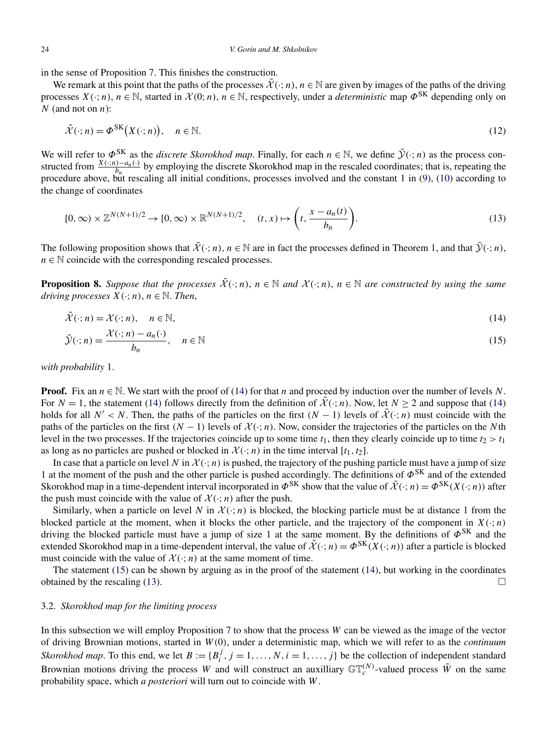<span id="page-6-0"></span>in the sense of Proposition [7.](#page-5-0) This finishes the construction.

We remark at this point that the paths of the processes  $\tilde{\mathcal{X}}(\cdot; n)$ ,  $n \in \mathbb{N}$  are given by images of the paths of the driving processes  $X(\cdot; n)$ ,  $n \in \mathbb{N}$ , started in  $\mathcal{X}(0; n)$ ,  $n \in \mathbb{N}$ , respectively, under a *deterministic* map  $\Phi^{\text{SK}}$  depending only on *N* (and not on *n*):

$$
\tilde{\mathcal{X}}(\cdot; n) = \Phi^{\text{SK}}\big(X(\cdot; n)\big), \quad n \in \mathbb{N}.\tag{12}
$$

We will refer to  $\Phi^{SK}$  as the *discrete Skorokhod map*. Finally, for each  $n \in \mathbb{N}$ , we define  $\tilde{\mathcal{Y}}(\cdot; n)$  as the process constructed from  $\frac{X(\cdot; n) - a_n(\cdot)}{b_n}$  by employing the discrete Skorokhod map in the rescaled coordinates; that is, repeating the procedure above, but rescaling all initial conditions, processes involved and the constant 1 in  $(9)$ ,  $(10)$  according to the change of coordinates

$$
[0,\infty) \times \mathbb{Z}^{N(N+1)/2} \to [0,\infty) \times \mathbb{R}^{N(N+1)/2}, \quad (t,x) \mapsto \left(t, \frac{x - a_n(t)}{b_n}\right). \tag{13}
$$

The following proposition shows that  $\tilde{\mathcal{X}}(\cdot; n)$ ,  $n \in \mathbb{N}$  are in fact the processes defined in Theorem [1,](#page-1-0) and that  $\tilde{\mathcal{Y}}(\cdot; n)$ ,  $n \in \mathbb{N}$  coincide with the corresponding rescaled processes.

**Proposition 8.** Suppose that the processes  $\tilde{\mathcal{X}}(\cdot; n)$ ,  $n \in \mathbb{N}$  and  $\mathcal{X}(\cdot; n)$ ,  $n \in \mathbb{N}$  are constructed by using the same *driving processes*  $X(\cdot; n)$ ,  $n \in \mathbb{N}$ . *Then*,

$$
\tilde{\mathcal{X}}(\cdot; n) = \mathcal{X}(\cdot; n), \quad n \in \mathbb{N},\tag{14}
$$

$$
\tilde{\mathcal{Y}}(\cdot; n) = \frac{\mathcal{X}(\cdot; n) - a_n(\cdot)}{b_n}, \quad n \in \mathbb{N}
$$
\n(15)

*with probability* 1.

**Proof.** Fix an  $n \in \mathbb{N}$ . We start with the proof of (14) for that *n* and proceed by induction over the number of levels *N*. For  $N = 1$ , the statement (14) follows directly from the definition of  $\tilde{\mathcal{X}}(\cdot; n)$ . Now, let  $N \ge 2$  and suppose that (14) holds for all *N'* < *N*. Then, the paths of the particles on the first  $(N - 1)$  levels of  $\mathcal{X}(\cdot; n)$  must coincide with the paths of the particles on the first  $(N - 1)$  levels of  $\mathcal{X}(\cdot; n)$ . Now, consider the trajectories of the particles on the *N*th level in the two processes. If the trajectories coincide up to some time  $t_1$ , then they clearly coincide up to time  $t_2 > t_1$ as long as no particles are pushed or blocked in  $\mathcal{X}(\cdot; n)$  in the time interval  $[t_1, t_2]$ .

In case that a particle on level N in  $\mathcal{X}(\cdot; n)$  is pushed, the trajectory of the pushing particle must have a jump of size 1 at the moment of the push and the other particle is pushed accordingly. The definitions of *Φ*SK and of the extended Skorokhod map in a time-dependent interval incorporated in  $\Phi^{SK}$  show that the value of  $\tilde{\mathcal{X}}(\cdot; n) = \Phi^{SK}(X(\cdot; n))$  after the push must coincide with the value of  $\mathcal{X}(\cdot; n)$  after the push.

Similarly, when a particle on level N in  $\mathcal{X}(\cdot; n)$  is blocked, the blocking particle must be at distance 1 from the blocked particle at the moment, when it blocks the other particle, and the trajectory of the component in  $X(\cdot; n)$ driving the blocked particle must have a jump of size 1 at the same moment. By the definitions of *Φ*SK and the extended Skorokhod map in a time-dependent interval, the value of  $\tilde{\mathcal{X}}(\cdot; n) = \Phi^{SK}(X(\cdot; n))$  after a particle is blocked must coincide with the value of  $\mathcal{X}(\cdot; n)$  at the same moment of time.

The statement  $(15)$  can be shown by arguing as in the proof of the statement  $(14)$ , but working in the coordinates obtained by the rescaling (13).  $\Box$ 

### 3.2. *Skorokhod map for the limiting process*

In this subsection we will employ Proposition [7](#page-5-0) to show that the process *W* can be viewed as the image of the vector of driving Brownian motions, started in *W (*0*)*, under a deterministic map, which we will refer to as the *continuum Skorokhod map*. To this end, we let  $B := \{B_i^j, j = 1, ..., N, i = 1, ..., j\}$  be the collection of independent standard Brownian motions driving the process *W* and will construct an auxilliary  $\mathbb{GT}_c^{(N)}$ -valued process  $\tilde{W}$  on the same probability space, which *a posteriori* will turn out to coincide with *W*.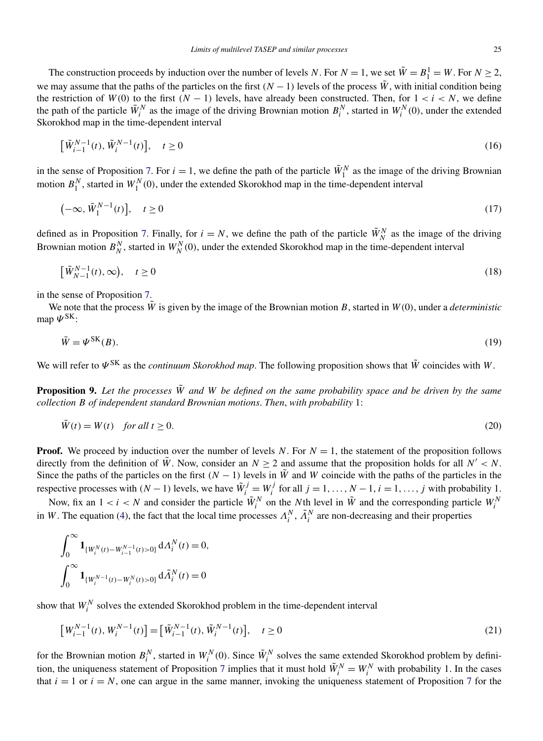<span id="page-7-0"></span>The construction proceeds by induction over the number of levels *N*. For  $N = 1$ , we set  $\tilde{W} = B_1^1 = W$ . For  $N \ge 2$ , we may assume that the paths of the particles on the first  $(N - 1)$  levels of the process  $\tilde{W}$ , with initial condition being the restriction of  $W(0)$  to the first  $(N - 1)$  levels, have already been constructed. Then, for  $1 < i < N$ , we define the path of the particle  $\tilde{W}_i^N$  as the image of the driving Brownian motion  $B_i^N$ , started in  $W_i^N(0)$ , under the extended Skorokhod map in the time-dependent interval

$$
\left[\tilde{W}_{i-1}^{N-1}(t), \tilde{W}_i^{N-1}(t)\right], \quad t \ge 0
$$
\n(16)

in the sense of Proposition [7.](#page-5-0) For  $i = 1$ , we define the path of the particle  $\tilde{W}_1^N$  as the image of the driving Brownian motion  $B_1^N$ , started in  $W_1^N(0)$ , under the extended Skorokhod map in the time-dependent interval

$$
\left(-\infty, \tilde{W}_1^{N-1}(t)\right], \quad t \ge 0 \tag{17}
$$

defined as in Proposition [7.](#page-5-0) Finally, for  $i = N$ , we define the path of the particle  $\tilde{W}_N^N$  as the image of the driving Brownian motion  $B_N^N$ , started in  $W_N^N(0)$ , under the extended Skorokhod map in the time-dependent interval

$$
\left[\tilde{W}_{N-1}^{N-1}(t),\infty\right), \quad t \ge 0 \tag{18}
$$

in the sense of Proposition [7.](#page-5-0)

We note that the process  $\tilde{W}$  is given by the image of the Brownian motion *B*, started in  $W(0)$ , under a *deterministic* map  $\Psi^{\text{SK}}$ :

$$
\tilde{W} = \Psi^{\text{SK}}(B). \tag{19}
$$

We will refer to  $\Psi^{\text{SK}}$  as the *continuum Skorokhod map*. The following proposition shows that  $\tilde{W}$  coincides with *W*.

**Proposition 9.** *Let the processes W*˜ *and W be defined on the same probability space and be driven by the same collection B of independent standard Brownian motions*. *Then*, *with probability* 1:

$$
\tilde{W}(t) = W(t) \quad \text{for all } t \ge 0. \tag{20}
$$

**Proof.** We proceed by induction over the number of levels *N*. For  $N = 1$ , the statement of the proposition follows directly from the definition of  $\tilde{W}$ . Now, consider an  $N > 2$  and assume that the proposition holds for all  $N' < N$ . Since the paths of the particles on the first  $(N - 1)$  levels in  $\tilde{W}$  and *W* coincide with the paths of the particles in the respective processes with  $(N-1)$  levels, we have  $\tilde{W}_i^j = W_i^j$  for all  $j = 1, ..., N-1, i = 1, ..., j$  with probability 1.

Now, fix an  $1 < i < N$  and consider the particle  $\tilde{W}_i^N$  on the *N*th level in  $\tilde{W}$  and the corresponding particle  $W_i^N$ in *W*. The equation [\(4\)](#page-4-0), the fact that the local time processes  $\Lambda_i^N$ ,  $\tilde{\Lambda}_i^N$  are non-decreasing and their properties

$$
\int_0^\infty \mathbf{1}_{\{W_i^N(t) - W_{i-1}^{N-1}(t) > 0\}} dA_i^N(t) = 0,
$$
  

$$
\int_0^\infty \mathbf{1}_{\{W_i^{N-1}(t) - W_i^N(t) > 0\}} d\tilde{A}_i^N(t) = 0
$$

show that  $W_i^N$  solves the extended Skorokhod problem in the time-dependent interval

$$
\left[W_{i-1}^{N-1}(t), W_i^{N-1}(t)\right] = \left[\tilde{W}_{i-1}^{N-1}(t), \tilde{W}_i^{N-1}(t)\right], \quad t \ge 0
$$
\n(21)

for the Brownian motion  $B_i^N$ , started in  $W_i^N(0)$ . Since  $\tilde{W}_i^N$  solves the same extended Skorokhod problem by defini-tion, the uniqueness statement of Proposition [7](#page-5-0) implies that it must hold  $\tilde{W}_i^N = W_i^N$  with probability 1. In the cases that  $i = 1$  or  $i = N$ , one can argue in the same manner, invoking the uniqueness statement of Proposition [7](#page-5-0) for the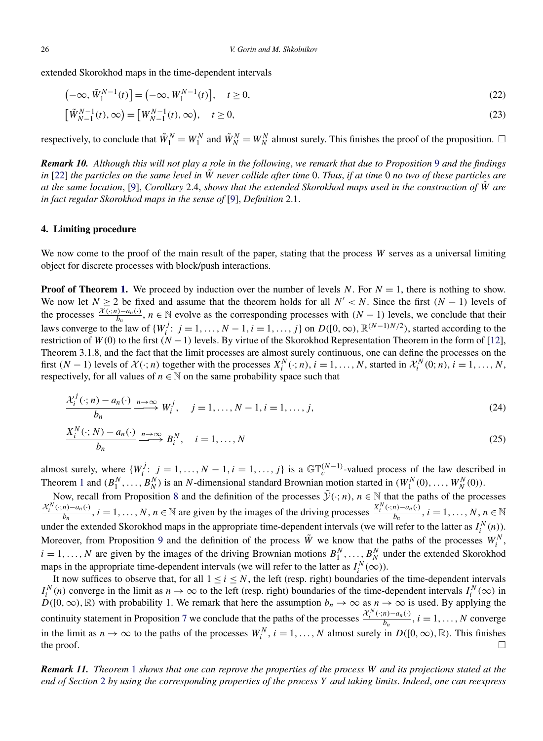<span id="page-8-0"></span>extended Skorokhod maps in the time-dependent intervals

$$
\left(-\infty, \tilde{W}_1^{N-1}(t)\right] = \left(-\infty, W_1^{N-1}(t)\right], \quad t \ge 0,
$$
\n(22)

$$
[\tilde{W}_{N-1}^{N-1}(t), \infty) = [W_{N-1}^{N-1}(t), \infty), \quad t \ge 0,
$$
\n(23)

respectively, to conclude that  $\tilde{W}_1^N = W_1^N$  and  $\tilde{W}_N^N = W_N^N$  almost surely. This finishes the proof of the proposition.  $\Box$ 

*Remark 10. Although this will not play a role in the following*, *we remark that due to Proposition* [9](#page-7-0) *and the findings in* [\[22\]](#page-9-0) *the particles on the same level in W*˜ *never collide after time* 0. *Thus*, *if at time* 0 *no two of these particles are at the same location*, [\[9\]](#page-9-0), *Corollary* 2.4, *shows that the extended Skorokhod maps used in the construction of W*˜ *are in fact regular Skorokhod maps in the sense of* [\[9\]](#page-9-0), *Definition* 2.1.

#### **4. Limiting procedure**

We now come to the proof of the main result of the paper, stating that the process *W* serves as a universal limiting object for discrete processes with block/push interactions.

**Proof of Theorem [1.](#page-1-0)** We proceed by induction over the number of levels *N*. For  $N = 1$ , there is nothing to show. We now let  $N \ge 2$  be fixed and assume that the theorem holds for all  $N' < N$ . Since the first  $(N - 1)$  levels of the processes  $\frac{\mathcal{X}(\cdot; n) - a_n(\cdot)}{b_n}$ ,  $n \in \mathbb{N}$  evolve as the corresponding processes with  $(N - 1)$  levels, we conclude that their laws converge to the law of  $\{W_i^j: j = 1, ..., N-1, i = 1, ..., j\}$  on  $D([0, \infty), \mathbb{R}^{(N-1)N/2})$ , started according to the restriction of *W (*0*)* to the first *(N* −1*)* levels. By virtue of the Skorokhod Representation Theorem in the form of [\[12\]](#page-9-0), Theorem 3.1.8, and the fact that the limit processes are almost surely continuous, one can define the processes on the first  $(N-1)$  levels of  $\mathcal{X}(\cdot; n)$  together with the processes  $X_i^N(\cdot; n)$ ,  $i = 1, ..., N$ , started in  $\mathcal{X}_i^N(0; n)$ ,  $i = 1, ..., N$ , respectively, for all values of  $n \in \mathbb{N}$  on the same probability space such that

$$
\frac{\mathcal{X}_i^j(\cdot; n) - a_n(\cdot)}{b_n} \xrightarrow{n \to \infty} W_i^j, \quad j = 1, \dots, N - 1, i = 1, \dots, j,
$$
\n
$$
\xrightarrow{N'} \xrightarrow{N'} \xrightarrow{N'} \xrightarrow{N'} \xrightarrow{N'} \xrightarrow{N'} \xrightarrow{N'} \xrightarrow{N'} \xrightarrow{N'} \xrightarrow{N'} \xrightarrow{N'} \xrightarrow{N'} \xrightarrow{N'} \xrightarrow{N'} \xrightarrow{N'} \xrightarrow{N'} \xrightarrow{N'} \xrightarrow{N'} \xrightarrow{N'} \xrightarrow{N'} \xrightarrow{N'} \xrightarrow{N'} \xrightarrow{N'} \xrightarrow{N'} \xrightarrow{N'} \xrightarrow{N'} \xrightarrow{N'} \xrightarrow{N'} \xrightarrow{N'} \xrightarrow{N'} \xrightarrow{N'} \xrightarrow{N'} \xrightarrow{N'} \xrightarrow{N'} \xrightarrow{N'} \xrightarrow{N'} \xrightarrow{N'} \xrightarrow{N'} \xrightarrow{N'} \xrightarrow{N'} \xrightarrow{N'} \xrightarrow{N'} \xrightarrow{N'} \xrightarrow{N'} \xrightarrow{N'} \xrightarrow{N'} \xrightarrow{N'} \xrightarrow{N'} \xrightarrow{N'} \xrightarrow{N'} \xrightarrow{N'} \xrightarrow{N'} \xrightarrow{N'} \xrightarrow{N'} \xrightarrow{N'} \xrightarrow{N'} \xrightarrow{N'} \xrightarrow{N'} \xrightarrow{N'} \xrightarrow{N'} \xrightarrow{N'} \xrightarrow{N'} \xrightarrow{N'} \xrightarrow{N'} \xrightarrow{N'} \xrightarrow{N'} \xrightarrow{N'} \xrightarrow{N'} \xrightarrow{N'} \xrightarrow{N'} \xrightarrow{N'} \xrightarrow{N'} \xrightarrow{N'} \xrightarrow{N'} \xrightarrow{N'} \xrightarrow{N'} \xrightarrow{N'} \xrightarrow{N'} \xrightarrow{N'} \xrightarrow{N'} \xrightarrow{N'} \xrightarrow{N'} \xrightarrow{N'} \xrightarrow{N'} \xrightarrow{N'} \xrightarrow{N'} \xrightarrow{N'} \xrightarrow{N'} \xrightarrow{N'} \xrightarrow{N'} \xrightarrow{N'} \xrightarrow{N'} \xrightarrow{N'} \xrightarrow{N'} \xrightarrow{N'} \xrightarrow{N'} \xrightarrow{N'} \xrightarrow{N'} \xrightarrow{N'} \xrightarrow{N'} \xrightarrow{N'} \xrightarrow{N'} \xrightarrow{N'} \xrightarrow{N'} \xrightarrow{N'} \xrightarrow{N'} \xrightarrow{N'} \xrightarrow{N'} \xrightarrow{N'} \xrightarrow{N'} \xrightarrow{N'} \xrightarrow{N'} \xrightarrow{N'} \xrightarrow{N'} \x
$$

$$
\frac{X_i^N(\cdot; N) - a_n(\cdot)}{b_n} \xrightarrow{n \to \infty} B_i^N, \quad i = 1, ..., N
$$
\n(25)

almost surely, where  $\{W_i^j: j = 1, ..., N - 1, i = 1, ..., j\}$  is a  $\mathbb{GT}_c^{(N-1)}$ -valued process of the law described in Theorem [1](#page-1-0) and  $(B_1^N, \ldots, B_N^N)$  is an *N*-dimensional standard Brownian motion started in  $(W_1^N(0), \ldots, W_N^N(0))$ .

Now, recall from Proposition [8](#page-6-0) and the definition of the processes  $\tilde{\mathcal{Y}}(\cdot; n)$ ,  $n \in \mathbb{N}$  that the paths of the processes  $\frac{\mathcal{X}_i^N(\cdot;n)-a_n(\cdot)}{b_n}$ ,  $i=1,\ldots,N$ ,  $n \in \mathbb{N}$  are given by the images of the driving processes  $\frac{\mathcal{X}_i^N(\cdot;n)-a_n(\cdot)}{b_n}$ ,  $i=1,\ldots,N$ ,  $n \in \mathbb{N}$ under the extended Skorokhod maps in the appropriate time-dependent intervals (we will refer to the latter as  $I_i^N(n)$ ). Moreover, from Proposition [9](#page-7-0) and the definition of the process  $\tilde{W}$  we know that the paths of the processes  $W_i^N$ ,  $i = 1, \ldots, N$  are given by the images of the driving Brownian motions  $B_1^N, \ldots, B_N^N$  under the extended Skorokhod maps in the appropriate time-dependent intervals (we will refer to the latter as  $I_i^N(\infty)$ ).

It now suffices to observe that, for all  $1 \le i \le N$ , the left (resp. right) boundaries of the time-dependent intervals  $I_i^N(n)$  converge in the limit as  $n \to \infty$  to the left (resp. right) boundaries of the time-dependent intervals  $I_i^N(\infty)$  in  $D([0,\infty),\mathbb{R})$  with probability 1. We remark that here the assumption  $b_n \to \infty$  as  $n \to \infty$  is used. By applying the continuity statement in Proposition [7](#page-5-0) we conclude that the paths of the processes  $\frac{\mathcal{X}_i^N(\cdot;n)-a_n(\cdot)}{b_n}$ ,  $i=1,\ldots,N$  converge in the limit as  $n \to \infty$  to the paths of the processes  $W_i^N$ ,  $i = 1, ..., N$  almost surely in  $D([0, \infty), \mathbb{R})$ . This finishes the proof.  $\Box$ 

*Remark 11. Theorem* [1](#page-1-0) *shows that one can reprove the properties of the process W and its projections stated at the end of Section* [2](#page-3-0) *by using the corresponding properties of the process Y and taking limits*. *Indeed*, *one can reexpress*

ſ